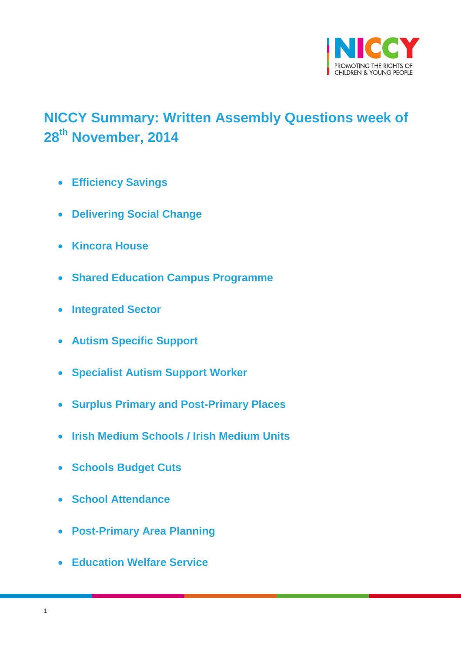

# <span id="page-0-0"></span>**NICCY Summary: Written Assembly Questions week of 28 th November, 2014**

- **[Efficiency Savings](#page-2-0)**
- **[Delivering Social Change](#page-2-1)**
- **[Kincora House](#page-3-0)**
- **[Shared Education Campus Programme](#page-4-0)**
- **[Integrated Sector](#page-4-1)**
- **[Autism Specific Support](#page-5-0)**
- **[Specialist Autism Support](#page-5-1) Worker**
- **[Surplus Primary and Post-Primary Places](#page-6-0)**
- **[Irish Medium Schools / Irish Medium Units](#page-7-0)**
- **[Schools Budget Cuts](#page-7-1)**
- **[School Attendance](#page-8-0)**
- **[Post-Primary Area Planning](#page-9-0)**
- **[Education Welfare Service](#page-9-1)**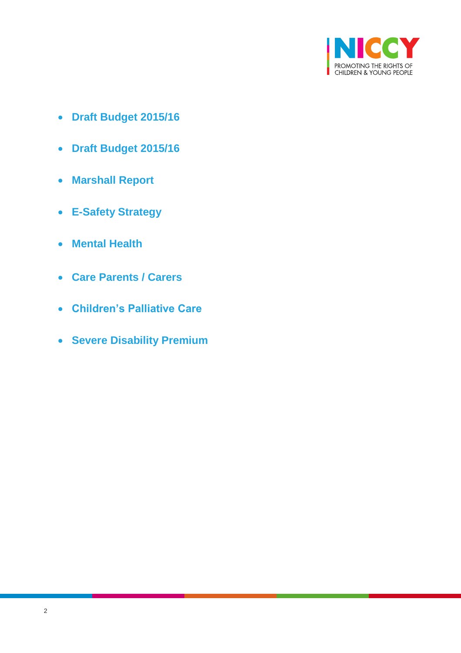

- **[Draft Budget 2015/16](#page-10-0)**
- **[Draft Budget 2015/16](#page-11-0)**
- **[Marshall Report](#page-12-0)**
- **[E-Safety Strategy](#page-12-1)**
- **[Mental Health](#page-13-0)**
- **[Care Parents / Carers](#page-14-0)**
- **[Children's Palliative Care](#page-14-1)**
- **[Severe Disability Premium](#page-15-0)**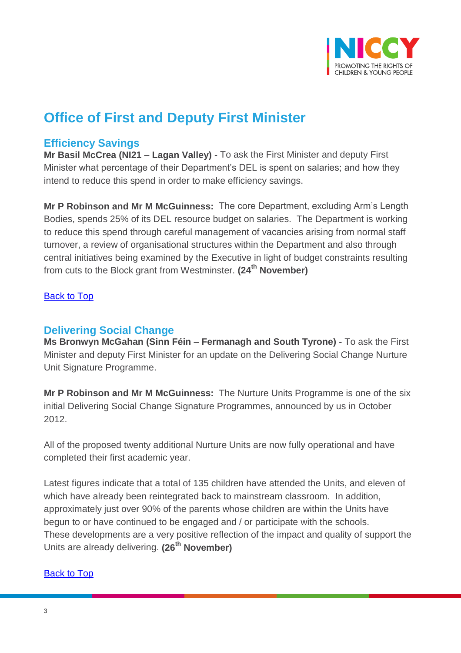

# **Office of First and Deputy First Minister**

## <span id="page-2-0"></span>**Efficiency Savings**

**Mr Basil McCrea (NI21 – Lagan Valley) -** To ask the First Minister and deputy First Minister what percentage of their Department's DEL is spent on salaries; and how they intend to reduce this spend in order to make efficiency savings.

**Mr P Robinson and Mr M McGuinness:** The core Department, excluding Arm's Length Bodies, spends 25% of its DEL resource budget on salaries. The Department is working to reduce this spend through careful management of vacancies arising from normal staff turnover, a review of organisational structures within the Department and also through central initiatives being examined by the Executive in light of budget constraints resulting from cuts to the Block grant from Westminster. **(24th November)**

#### [Back to Top](#page-0-0)

### <span id="page-2-1"></span>**Delivering Social Change**

**Ms Bronwyn McGahan (Sinn Féin – Fermanagh and South Tyrone) -** To ask the First Minister and deputy First Minister for an update on the Delivering Social Change Nurture Unit Signature Programme.

**Mr P Robinson and Mr M McGuinness:** The Nurture Units Programme is one of the six initial Delivering Social Change Signature Programmes, announced by us in October 2012.

All of the proposed twenty additional Nurture Units are now fully operational and have completed their first academic year.

Latest figures indicate that a total of 135 children have attended the Units, and eleven of which have already been reintegrated back to mainstream classroom. In addition, approximately just over 90% of the parents whose children are within the Units have begun to or have continued to be engaged and / or participate with the schools. These developments are a very positive reflection of the impact and quality of support the Units are already delivering. **(26th November)**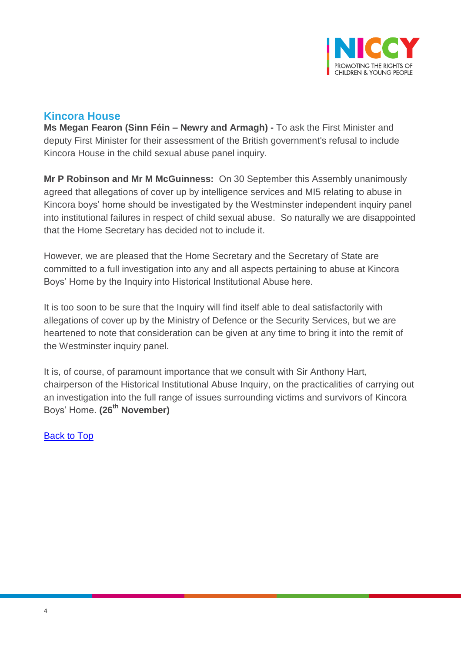

## <span id="page-3-0"></span>**Kincora House**

**Ms Megan Fearon (Sinn Féin – Newry and Armagh) -** To ask the First Minister and deputy First Minister for their assessment of the British government's refusal to include Kincora House in the child sexual abuse panel inquiry.

**Mr P Robinson and Mr M McGuinness:** On 30 September this Assembly unanimously agreed that allegations of cover up by intelligence services and MI5 relating to abuse in Kincora boys' home should be investigated by the Westminster independent inquiry panel into institutional failures in respect of child sexual abuse. So naturally we are disappointed that the Home Secretary has decided not to include it.

However, we are pleased that the Home Secretary and the Secretary of State are committed to a full investigation into any and all aspects pertaining to abuse at Kincora Boys' Home by the Inquiry into Historical Institutional Abuse here.

It is too soon to be sure that the Inquiry will find itself able to deal satisfactorily with allegations of cover up by the Ministry of Defence or the Security Services, but we are heartened to note that consideration can be given at any time to bring it into the remit of the Westminster inquiry panel.

It is, of course, of paramount importance that we consult with Sir Anthony Hart, chairperson of the Historical Institutional Abuse Inquiry, on the practicalities of carrying out an investigation into the full range of issues surrounding victims and survivors of Kincora Boys' Home. **(26th November)**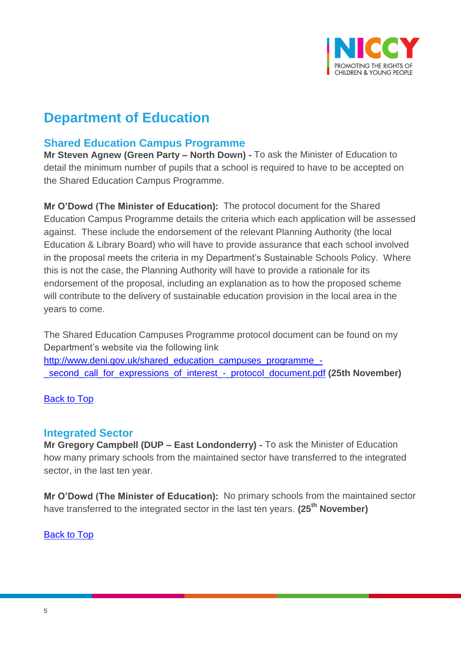

# **Department of Education**

## <span id="page-4-0"></span>**Shared Education Campus Programme**

**Mr Steven Agnew (Green Party – North Down) -** To ask the Minister of Education to detail the minimum number of pupils that a school is required to have to be accepted on the Shared Education Campus Programme.

**Mr O'Dowd (The Minister of Education):** The protocol document for the Shared Education Campus Programme details the criteria which each application will be assessed against. These include the endorsement of the relevant Planning Authority (the local Education & Library Board) who will have to provide assurance that each school involved in the proposal meets the criteria in my Department's Sustainable Schools Policy. Where this is not the case, the Planning Authority will have to provide a rationale for its endorsement of the proposal, including an explanation as to how the proposed scheme will contribute to the delivery of sustainable education provision in the local area in the years to come.

The Shared Education Campuses Programme protocol document can be found on my Department's website via the following link [http://www.deni.gov.uk/shared\\_education\\_campuses\\_programme\\_-](http://www.deni.gov.uk/shared_education_campuses_programme_-_second_call_for_expressions_of_interest_-_protocol_document.pdf) [\\_second\\_call\\_for\\_expressions\\_of\\_interest\\_-\\_protocol\\_document.pdf](http://www.deni.gov.uk/shared_education_campuses_programme_-_second_call_for_expressions_of_interest_-_protocol_document.pdf) **(25th November)**

#### [Back to Top](#page-0-0)

#### <span id="page-4-1"></span>**Integrated Sector**

**Mr Gregory Campbell (DUP – East Londonderry) -** To ask the Minister of Education how many primary schools from the maintained sector have transferred to the integrated sector, in the last ten year.

**Mr O'Dowd (The Minister of Education):** No primary schools from the maintained sector have transferred to the integrated sector in the last ten years. **(25th November)**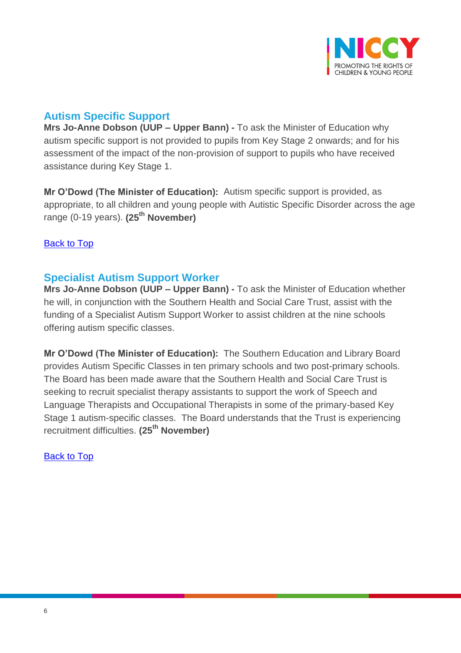

# <span id="page-5-0"></span>**Autism Specific Support**

**Mrs Jo-Anne Dobson (UUP – Upper Bann) -** To ask the Minister of Education why autism specific support is not provided to pupils from Key Stage 2 onwards; and for his assessment of the impact of the non-provision of support to pupils who have received assistance during Key Stage 1.

**Mr O'Dowd (The Minister of Education):** Autism specific support is provided, as appropriate, to all children and young people with Autistic Specific Disorder across the age range (0-19 years). **(25th November)**

#### [Back to Top](#page-0-0)

## <span id="page-5-1"></span>**Specialist Autism Support Worker**

**Mrs Jo-Anne Dobson (UUP – Upper Bann) -** To ask the Minister of Education whether he will, in conjunction with the Southern Health and Social Care Trust, assist with the funding of a Specialist Autism Support Worker to assist children at the nine schools offering autism specific classes.

**Mr O'Dowd (The Minister of Education):** The Southern Education and Library Board provides Autism Specific Classes in ten primary schools and two post-primary schools. The Board has been made aware that the Southern Health and Social Care Trust is seeking to recruit specialist therapy assistants to support the work of Speech and Language Therapists and Occupational Therapists in some of the primary-based Key Stage 1 autism-specific classes. The Board understands that the Trust is experiencing recruitment difficulties. **(25th November)**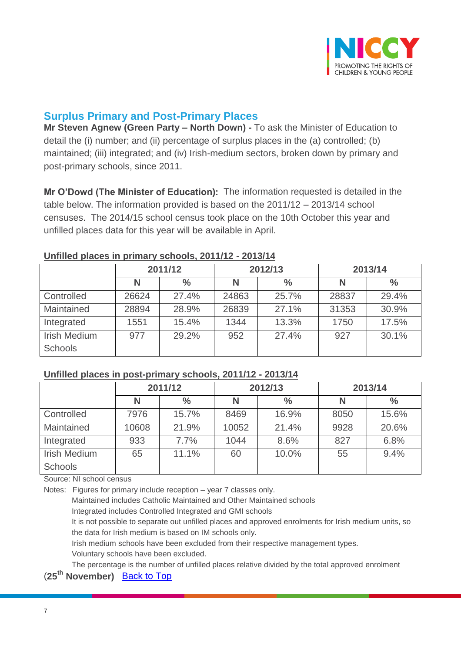

## <span id="page-6-0"></span>**Surplus Primary and Post-Primary Places**

**Mr Steven Agnew (Green Party – North Down) -** To ask the Minister of Education to detail the (i) number; and (ii) percentage of surplus places in the (a) controlled; (b) maintained; (iii) integrated; and (iv) Irish-medium sectors, broken down by primary and post-primary schools, since 2011.

**Mr O'Dowd (The Minister of Education):** The information requested is detailed in the table below. The information provided is based on the 2011/12 – 2013/14 school censuses. The 2014/15 school census took place on the 10th October this year and unfilled places data for this year will be available in April.

|                     | 2011/12 |               | 2012/13 |               | 2013/14 |       |
|---------------------|---------|---------------|---------|---------------|---------|-------|
|                     | N       | $\frac{6}{6}$ | Ν       | $\frac{6}{6}$ | Ν       | $\%$  |
| Controlled          | 26624   | 27.4%         | 24863   | 25.7%         | 28837   | 29.4% |
| Maintained          | 28894   | 28.9%         | 26839   | 27.1%         | 31353   | 30.9% |
| Integrated          | 1551    | 15.4%         | 1344    | 13.3%         | 1750    | 17.5% |
| <b>Irish Medium</b> | 977     | 29.2%         | 952     | 27.4%         | 927     | 30.1% |
| <b>Schools</b>      |         |               |         |               |         |       |

#### **Unfilled places in primary schools, 2011/12 - 2013/14**

#### **Unfilled places in post-primary schools, 2011/12 - 2013/14**

|                     | 2011/12 |               | 2012/13 |               | 2013/14 |               |
|---------------------|---------|---------------|---------|---------------|---------|---------------|
|                     | N       | $\frac{0}{0}$ | N       | $\frac{6}{6}$ | N       | $\frac{0}{0}$ |
| Controlled          | 7976    | 15.7%         | 8469    | 16.9%         | 8050    | 15.6%         |
| Maintained          | 10608   | 21.9%         | 10052   | 21.4%         | 9928    | 20.6%         |
| Integrated          | 933     | 7.7%          | 1044    | 8.6%          | 827     | 6.8%          |
| <b>Irish Medium</b> | 65      | 11.1%         | 60      | 10.0%         | 55      | 9.4%          |
| <b>Schools</b>      |         |               |         |               |         |               |

Source: NI school census

Notes: Figures for primary include reception – year 7 classes only.

Maintained includes Catholic Maintained and Other Maintained schools

Integrated includes Controlled Integrated and GMI schools

It is not possible to separate out unfilled places and approved enrolments for Irish medium units, so the data for Irish medium is based on IM schools only.

Irish medium schools have been excluded from their respective management types. Voluntary schools have been excluded.

The percentage is the number of unfilled places relative divided by the total approved enrolment

(**25th November)** [Back to Top](#page-0-0)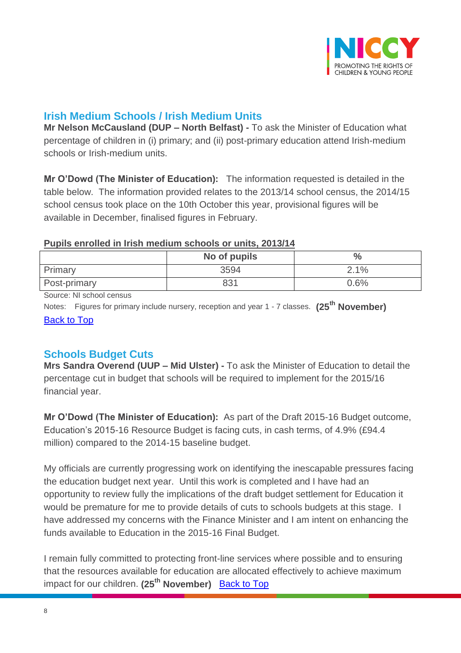

# <span id="page-7-0"></span>**Irish Medium Schools / Irish Medium Units**

**Mr Nelson McCausland (DUP – North Belfast) -** To ask the Minister of Education what percentage of children in (i) primary; and (ii) post-primary education attend Irish-medium schools or Irish-medium units.

**Mr O'Dowd (The Minister of Education):** The information requested is detailed in the table below. The information provided relates to the 2013/14 school census, the 2014/15 school census took place on the 10th October this year, provisional figures will be available in December, finalised figures in February.

#### **Pupils enrolled in Irish medium schools or units, 2013/14**

|              | No of pupils | 0/   |
|--------------|--------------|------|
| Primary      | 3594         | 2.1% |
| Post-primary | 831          | 0.6% |

Source: NI school census

Notes: Figures for primary include nursery, reception and year 1 - 7 classes. **(25th November)** [Back to Top](#page-0-0)

## <span id="page-7-1"></span>**Schools Budget Cuts**

**Mrs Sandra Overend (UUP – Mid Ulster) -** To ask the Minister of Education to detail the percentage cut in budget that schools will be required to implement for the 2015/16 financial year.

**Mr O'Dowd (The Minister of Education):** As part of the Draft 2015-16 Budget outcome, Education's 2015-16 Resource Budget is facing cuts, in cash terms, of 4.9% (£94.4 million) compared to the 2014-15 baseline budget.

My officials are currently progressing work on identifying the inescapable pressures facing the education budget next year. Until this work is completed and I have had an opportunity to review fully the implications of the draft budget settlement for Education it would be premature for me to provide details of cuts to schools budgets at this stage. I have addressed my concerns with the Finance Minister and I am intent on enhancing the funds available to Education in the 2015-16 Final Budget.

I remain fully committed to protecting front-line services where possible and to ensuring that the resources available for education are allocated effectively to achieve maximum impact for our children. **(25th November)** [Back to Top](#page-0-0)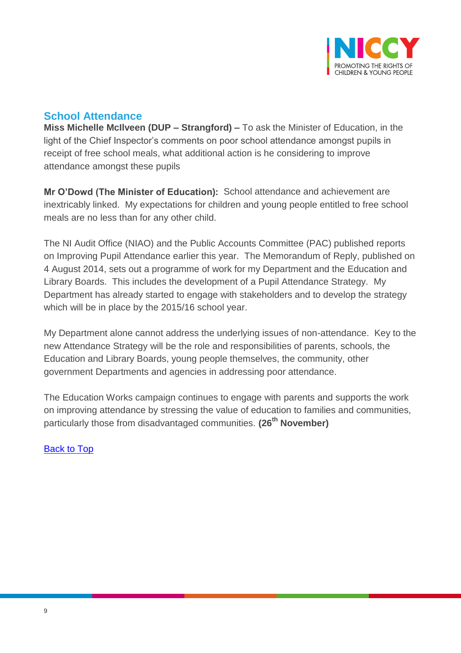

# <span id="page-8-0"></span>**School Attendance**

**Miss Michelle McIlveen (DUP – Strangford) –** To ask the Minister of Education, in the light of the Chief Inspector's comments on poor school attendance amongst pupils in receipt of free school meals, what additional action is he considering to improve attendance amongst these pupils

**Mr O'Dowd (The Minister of Education):** School attendance and achievement are inextricably linked. My expectations for children and young people entitled to free school meals are no less than for any other child.

The NI Audit Office (NIAO) and the Public Accounts Committee (PAC) published reports on Improving Pupil Attendance earlier this year. The Memorandum of Reply, published on 4 August 2014, sets out a programme of work for my Department and the Education and Library Boards. This includes the development of a Pupil Attendance Strategy. My Department has already started to engage with stakeholders and to develop the strategy which will be in place by the 2015/16 school year.

My Department alone cannot address the underlying issues of non-attendance. Key to the new Attendance Strategy will be the role and responsibilities of parents, schools, the Education and Library Boards, young people themselves, the community, other government Departments and agencies in addressing poor attendance.

The Education Works campaign continues to engage with parents and supports the work on improving attendance by stressing the value of education to families and communities, particularly those from disadvantaged communities. **(26th November)**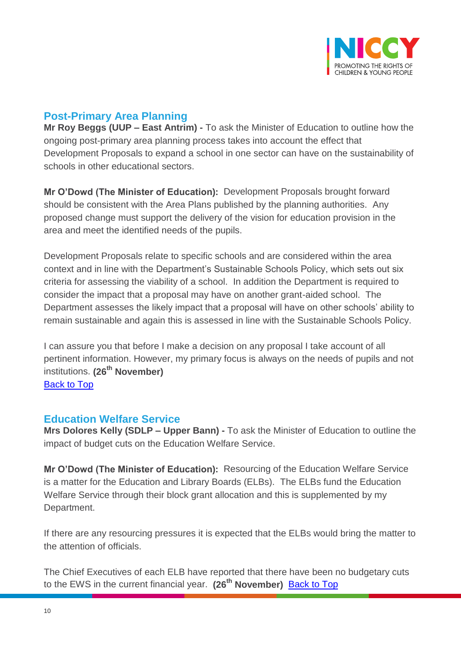

## <span id="page-9-0"></span>**Post-Primary Area Planning**

**Mr Roy Beggs (UUP – East Antrim) -** To ask the Minister of Education to outline how the ongoing post-primary area planning process takes into account the effect that Development Proposals to expand a school in one sector can have on the sustainability of schools in other educational sectors.

**Mr O'Dowd (The Minister of Education):** Development Proposals brought forward should be consistent with the Area Plans published by the planning authorities. Any proposed change must support the delivery of the vision for education provision in the area and meet the identified needs of the pupils.

Development Proposals relate to specific schools and are considered within the area context and in line with the Department's Sustainable Schools Policy, which sets out six criteria for assessing the viability of a school. In addition the Department is required to consider the impact that a proposal may have on another grant-aided school. The Department assesses the likely impact that a proposal will have on other schools' ability to remain sustainable and again this is assessed in line with the Sustainable Schools Policy.

I can assure you that before I make a decision on any proposal I take account of all pertinent information. However, my primary focus is always on the needs of pupils and not institutions. **(26th November)** [Back to Top](#page-0-0)

### <span id="page-9-1"></span>**Education Welfare Service**

**Mrs Dolores Kelly (SDLP – Upper Bann) -** To ask the Minister of Education to outline the impact of budget cuts on the Education Welfare Service.

**Mr O'Dowd (The Minister of Education):** Resourcing of the Education Welfare Service is a matter for the Education and Library Boards (ELBs). The ELBs fund the Education Welfare Service through their block grant allocation and this is supplemented by my Department.

If there are any resourcing pressures it is expected that the ELBs would bring the matter to the attention of officials.

The Chief Executives of each ELB have reported that there have been no budgetary cuts to the EWS in the current financial year. **(26th November)** [Back to Top](#page-0-0)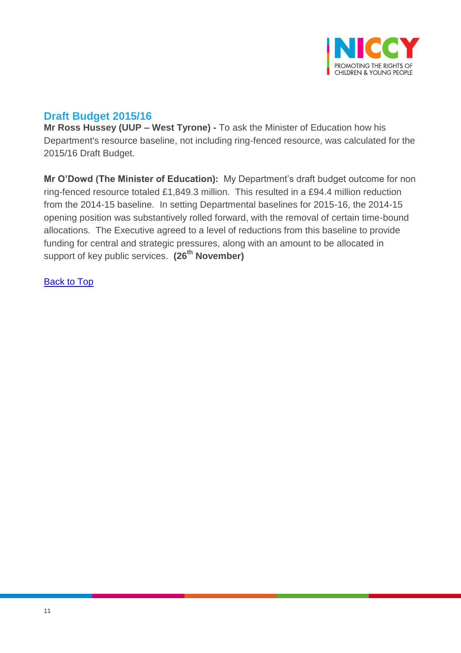

# <span id="page-10-0"></span>**Draft Budget 2015/16**

**Mr Ross Hussey (UUP – West Tyrone) -** To ask the Minister of Education how his Department's resource baseline, not including ring-fenced resource, was calculated for the 2015/16 Draft Budget.

**Mr O'Dowd (The Minister of Education):** My Department's draft budget outcome for non ring-fenced resource totaled £1,849.3 million. This resulted in a £94.4 million reduction from the 2014-15 baseline. In setting Departmental baselines for 2015-16, the 2014-15 opening position was substantively rolled forward, with the removal of certain time-bound allocations. The Executive agreed to a level of reductions from this baseline to provide funding for central and strategic pressures, along with an amount to be allocated in support of key public services. **(26th November)**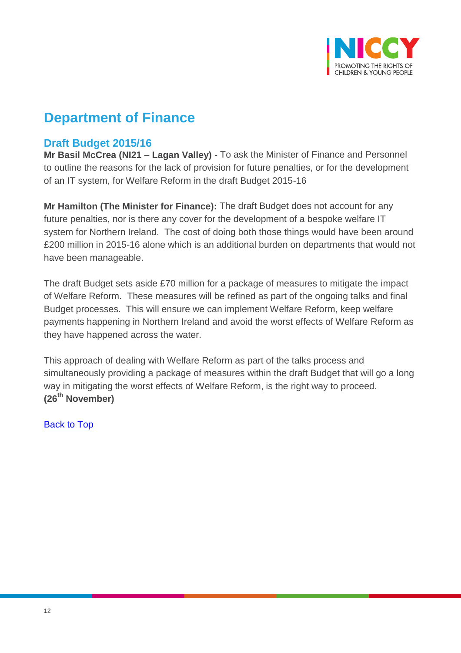

# **Department of Finance**

## <span id="page-11-0"></span>**Draft Budget 2015/16**

**Mr Basil McCrea (NI21 – Lagan Valley) -** To ask the Minister of Finance and Personnel to outline the reasons for the lack of provision for future penalties, or for the development of an IT system, for Welfare Reform in the draft Budget 2015-16

**Mr Hamilton (The Minister for Finance):** The draft Budget does not account for any future penalties, nor is there any cover for the development of a bespoke welfare IT system for Northern Ireland. The cost of doing both those things would have been around £200 million in 2015-16 alone which is an additional burden on departments that would not have been manageable.

The draft Budget sets aside £70 million for a package of measures to mitigate the impact of Welfare Reform. These measures will be refined as part of the ongoing talks and final Budget processes. This will ensure we can implement Welfare Reform, keep welfare payments happening in Northern Ireland and avoid the worst effects of Welfare Reform as they have happened across the water.

This approach of dealing with Welfare Reform as part of the talks process and simultaneously providing a package of measures within the draft Budget that will go a long way in mitigating the worst effects of Welfare Reform, is the right way to proceed. **(26th November)**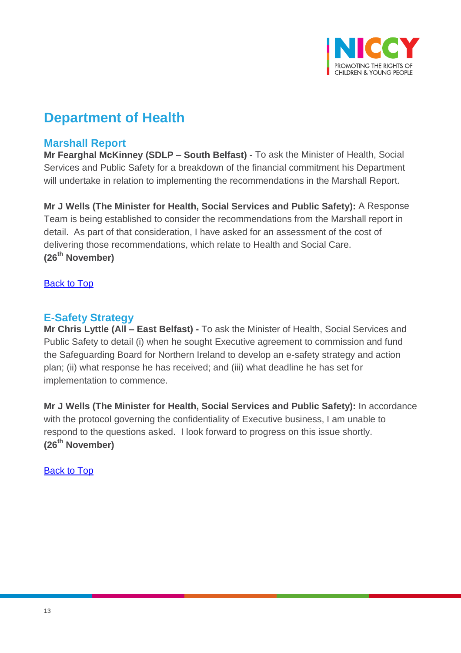

# **Department of Health**

## <span id="page-12-0"></span>**Marshall Report**

**Mr Fearghal McKinney (SDLP – South Belfast) -** To ask the Minister of Health, Social Services and Public Safety for a breakdown of the financial commitment his Department will undertake in relation to implementing the recommendations in the Marshall Report.

**Mr J Wells (The Minister for Health, Social Services and Public Safety):** A Response Team is being established to consider the recommendations from the Marshall report in detail. As part of that consideration, I have asked for an assessment of the cost of delivering those recommendations, which relate to Health and Social Care. **(26th November)**

#### **[Back to Top](#page-0-0)**

## <span id="page-12-1"></span>**E-Safety Strategy**

**Mr Chris Lyttle (All – East Belfast) -** To ask the Minister of Health, Social Services and Public Safety to detail (i) when he sought Executive agreement to commission and fund the Safeguarding Board for Northern Ireland to develop an e-safety strategy and action plan; (ii) what response he has received; and (iii) what deadline he has set for implementation to commence.

**Mr J Wells (The Minister for Health, Social Services and Public Safety):** In accordance with the protocol governing the confidentiality of Executive business, I am unable to respond to the questions asked. I look forward to progress on this issue shortly. **(26th November)**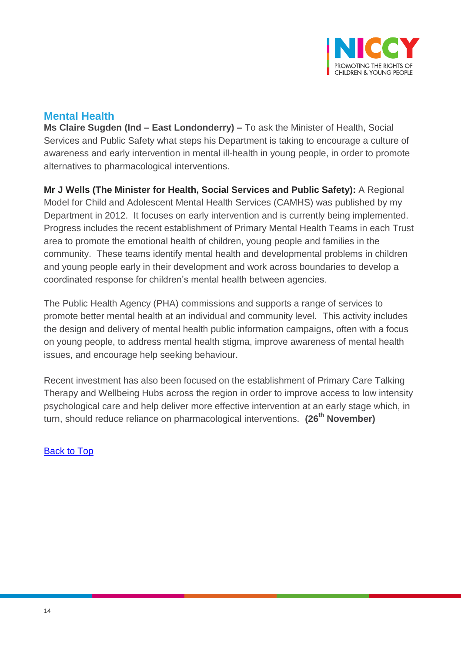

# <span id="page-13-0"></span>**Mental Health**

**Ms Claire Sugden (Ind – East Londonderry) –** To ask the Minister of Health, Social Services and Public Safety what steps his Department is taking to encourage a culture of awareness and early intervention in mental ill-health in young people, in order to promote alternatives to pharmacological interventions.

**Mr J Wells (The Minister for Health, Social Services and Public Safety):** A Regional Model for Child and Adolescent Mental Health Services (CAMHS) was published by my Department in 2012. It focuses on early intervention and is currently being implemented. Progress includes the recent establishment of Primary Mental Health Teams in each Trust area to promote the emotional health of children, young people and families in the community. These teams identify mental health and developmental problems in children and young people early in their development and work across boundaries to develop a coordinated response for children's mental health between agencies.

The Public Health Agency (PHA) commissions and supports a range of services to promote better mental health at an individual and community level. This activity includes the design and delivery of mental health public information campaigns, often with a focus on young people, to address mental health stigma, improve awareness of mental health issues, and encourage help seeking behaviour.

Recent investment has also been focused on the establishment of Primary Care Talking Therapy and Wellbeing Hubs across the region in order to improve access to low intensity psychological care and help deliver more effective intervention at an early stage which, in turn, should reduce reliance on pharmacological interventions. **(26th November)**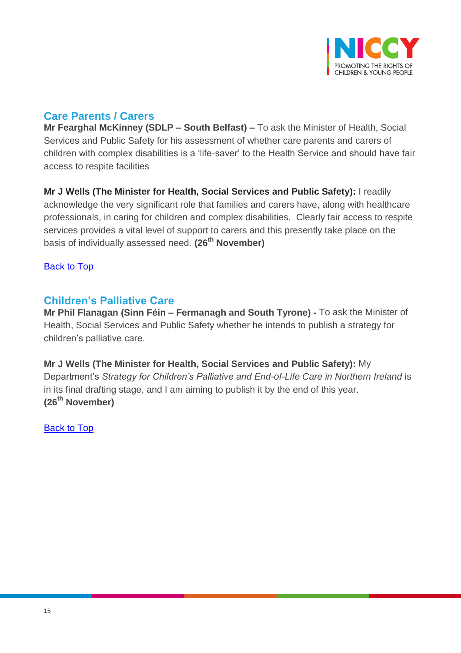

# <span id="page-14-0"></span>**Care Parents / Carers**

**Mr Fearghal McKinney (SDLP – South Belfast) –** To ask the Minister of Health, Social Services and Public Safety for his assessment of whether care parents and carers of children with complex disabilities is a 'life-saver' to the Health Service and should have fair access to respite facilities

**Mr J Wells (The Minister for Health, Social Services and Public Safety):** I readily acknowledge the very significant role that families and carers have, along with healthcare professionals, in caring for children and complex disabilities. Clearly fair access to respite services provides a vital level of support to carers and this presently take place on the basis of individually assessed need. **(26th November)**

[Back to Top](#page-0-0)

## <span id="page-14-1"></span>**Children's Palliative Care**

**Mr Phil Flanagan (Sinn Féin – Fermanagh and South Tyrone) -** To ask the Minister of Health, Social Services and Public Safety whether he intends to publish a strategy for children's palliative care.

**Mr J Wells (The Minister for Health, Social Services and Public Safety):** My Department's *Strategy for Children's Palliative and End-of-Life Care in Northern Ireland* is in its final drafting stage, and I am aiming to publish it by the end of this year. **(26th November)**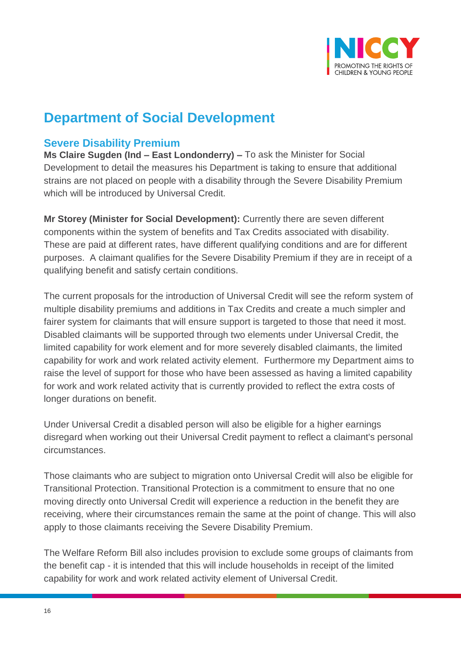

# **Department of Social Development**

## <span id="page-15-0"></span>**Severe Disability Premium**

**Ms Claire Sugden (Ind – East Londonderry) –** To ask the Minister for Social Development to detail the measures his Department is taking to ensure that additional strains are not placed on people with a disability through the Severe Disability Premium which will be introduced by Universal Credit.

**Mr Storey (Minister for Social Development):** Currently there are seven different components within the system of benefits and Tax Credits associated with disability. These are paid at different rates, have different qualifying conditions and are for different purposes. A claimant qualifies for the Severe Disability Premium if they are in receipt of a qualifying benefit and satisfy certain conditions.

The current proposals for the introduction of Universal Credit will see the reform system of multiple disability premiums and additions in Tax Credits and create a much simpler and fairer system for claimants that will ensure support is targeted to those that need it most. Disabled claimants will be supported through two elements under Universal Credit, the limited capability for work element and for more severely disabled claimants, the limited capability for work and work related activity element. Furthermore my Department aims to raise the level of support for those who have been assessed as having a limited capability for work and work related activity that is currently provided to reflect the extra costs of longer durations on benefit.

Under Universal Credit a disabled person will also be eligible for a higher earnings disregard when working out their Universal Credit payment to reflect a claimant's personal circumstances.

Those claimants who are subject to migration onto Universal Credit will also be eligible for Transitional Protection. Transitional Protection is a commitment to ensure that no one moving directly onto Universal Credit will experience a reduction in the benefit they are receiving, where their circumstances remain the same at the point of change. This will also apply to those claimants receiving the Severe Disability Premium.

The Welfare Reform Bill also includes provision to exclude some groups of claimants from the benefit cap - it is intended that this will include households in receipt of the limited capability for work and work related activity element of Universal Credit.